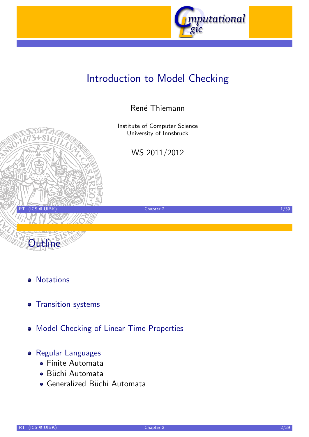

# Introduction to Model Checking

#### René Thiemann

Institute of Computer Science University of Innsbruck

WS 2011/2012

RT (ICS @ UIBK) 2 1/39



**Outline** 

- **•** Transition systems
- [M](#page-1-0)odel Checking of Linear Time Properties

#### **•** [Regula](#page-2-0)[r](http://cl-informatik.uibk.ac.at/teaching/ws10/imc) [Languages](http://cl-informatik.uibk.ac.at/teaching/ws10/imc)

- [Finite Automata](#page-7-0)
- Büchi [Automata](http://informatik.uibk.ac.at/)
- [Gen](#page-9-0)eralized Büchi Automata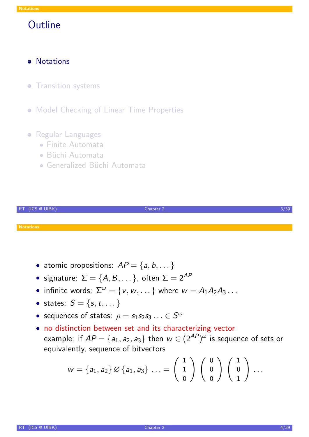## **Outline**

- **•** Notations
- **Transition systems**
- **Model Checking of Linear Time Properties**

#### **• Regular Languages**

- Finite Automata
- Büchi Automata
- Generalized Büchi Automata



- atomic propositions:  $AP = \{a, b, \dots\}$
- signature:  $\Sigma = \{A, B, \dots\}$ , often  $\Sigma = 2^{AP}$
- infinite words:  $\Sigma^{\omega} = \{v, w, \dots\}$  where  $w = A_1 A_2 A_3 \dots$
- states:  $S = \{s, t, \dots\}$
- sequences of states:  $\rho = s_1 s_2 s_3 \ldots \in S^\omega$
- [•](#page-1-0) no distinction between set and its characterizing vector example: if  $\mathsf{AP}=\{ \mathsf{a}_1,\mathsf{a}_2,\mathsf{a}_3\}$  then  $w\in (2^\mathsf{AP})^\omega$  is sequence of sets or [equi](#page-2-0)valently, sequence of bitvectors

<span id="page-1-0"></span>
$$
w=\{a_1,a_2\}\oslash\{a_1,a_3\}\ldots=\left(\begin{array}{c}1\\1\\0\end{array}\right)\left(\begin{array}{c}0\\0\\0\end{array}\right)\left(\begin{array}{c}1\\0\\1\end{array}\right)\ldots
$$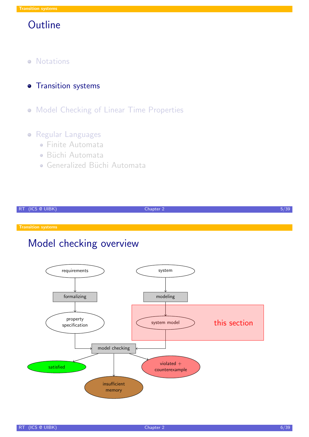- **•** Notations
- **·** Transition systems
- Model Checking of Linear Time Properties

#### **•** Regular Languages

- Finite Automata
- · Büchi Automata
- Generalized Büchi Automata

| RT (ICS @ UIBK) | Chapter $2^{\prime}$ | , JJ |
|-----------------|----------------------|------|

## Model checking overview

<span id="page-2-0"></span>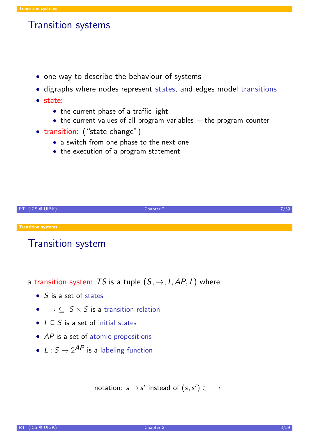#### Transition systems

- one way to describe the behaviour of systems
- digraphs where nodes represent states, and edges model transitions
- state:
	- the current phase of a traffic light
	- the current values of all program variables  $+$  the program counter
- transition: ("state change")
	- a switch from one phase to the next one
	- the execution of a program statement



### Transition system

- a transition system TS is a tuple  $(S, \rightarrow, I, AP, L)$  where
	- S is a set of states
	- $\bullet \rightarrow \subseteq S \times S$  is a transition relation
	- $I \subseteq S$  is a set of initial states
	- $AP$  is a set of atomic propositions
	- $L: S \rightarrow 2^{AP}$  is a labeling function

notation:  $s \rightarrow s'$  instead of  $(s, s') \in \longrightarrow$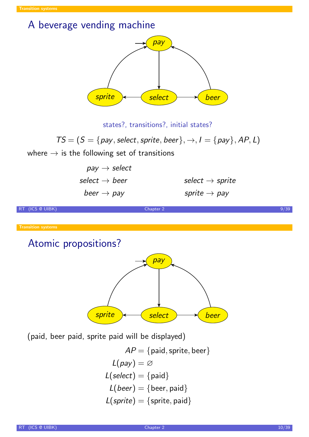### A beverage vending machine



states?, transitions?, initial states?

 $TS = (S = \{pay, select, sprite, beer\}, \rightarrow, I = \{pay\}, AP, L)$ 

where  $\rightarrow$  is the following set of transitions

| $pay \rightarrow select$  |                             |
|---------------------------|-----------------------------|
| select $\rightarrow$ beer | select $\rightarrow$ sprite |
| beer $\rightarrow$ pay    | sprite $\rightarrow$ pay    |

RT (ICS @ UIBK) 89/39 (Chapter 2 9/39 (Chapter 2 9/39 (Chapter 2 9/39 (Chapter 2 9/39 (Chapter 2 9/39 (Chapter 2 9/39 (Chapter 2 9/39 (Chapter 2 9/39 (Chapter 2 9/39 (Chapter 2 9/39 (Chapter 2 9/39 (Chapter 2 9/39 (Chapter

#### Atomic propositions?



(paid, beer paid, sprite paid will be displayed)

 $AP = \{$ paid, sprite, beer $\}$  $L(pay) = \varnothing$  $L(select) = {paid}$  $L(beer) = \{beer, paid\}$  $L(sprite) = {$ sprite, paid}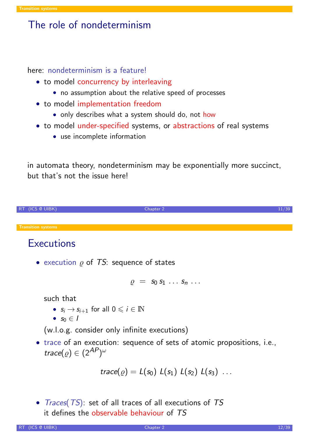#### The role of nondeterminism

here: nondeterminism is a feature!

- to model concurrency by interleaving
	- no assumption about the relative speed of processes
- to model implementation freedom
	- only describes what a system should do, not how
- to model under-specified systems, or abstractions of real systems
	- use incomplete information

in automata theory, nondeterminism may be exponentially more succinct, but that's not the issue here!



### **Executions**

• execution  $\rho$  of TS: sequence of states

$$
\varrho = s_0 s_1 \ldots s_n \ldots
$$

such that

- $s_i \rightarrow s_{i+1}$  for all  $0 \leq i \in \mathbb{N}$
- $s_0 \in I$

(w.l.o.g. consider only infinite executions)

• trace of an execution: sequence of sets of atomic propositions, i.e., trace $(\varrho) \in (2^\textit{AP} )^\omega$ 

$$
trace(\varrho) = L(s_0) L(s_1) L(s_2) L(s_3) ...
$$

• Traces(TS): set of all traces of all executions of TS it defines the observable behaviour of TS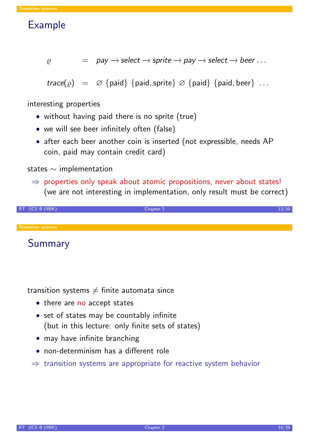## Example

$$
\rho
$$
 = pay  $\rightarrow$  select  $\rightarrow$  sprite  $\rightarrow$  pay  $\rightarrow$  select  $\rightarrow$  beer ...

 $trace(\varrho) = \varnothing$  {paid} {paid, sprite}  $\varnothing$  {paid} {paid, beer} ...

interesting properties

- without having paid there is no sprite (true)
- we will see beer infinitely often (false)
- after each beer another coin is inserted (not expressible, needs AP coin, paid may contain credit card)

states ∼ implementation

 $\Rightarrow$  properties only speak about atomic propositions, never about states! (we are not interesting in implementation, only result must be correct)

| RT (ICS @ UIBK)           | Chapter 2 |  |
|---------------------------|-----------|--|
|                           |           |  |
| <b>Transition systems</b> |           |  |

Summary

transition systems  $\neq$  finite automata since

- there are no accept states
- set of states may be countably infinite (but in this lecture: only finite sets of states)
- may have infinite branching
- non-determinism has a different role
- $\Rightarrow$  transition systems are appropriate for reactive system behavior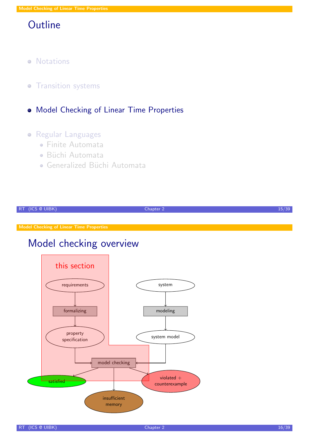## **Outline**

- **•** Notations
- Transition systems  $\bullet$
- Model Checking of Linear Time Properties

#### **•** Regular Languages

- Finite Automata
- · Büchi Automata
- Generalized Büchi Automata

<span id="page-7-0"></span>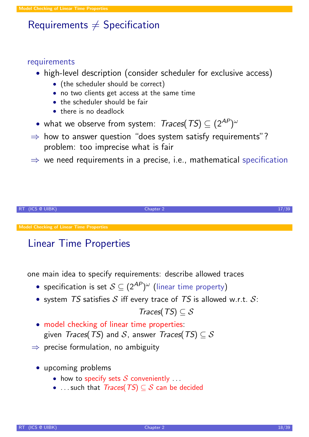# Requirements  $\neq$  Specification

#### requirements

- high-level description (consider scheduler for exclusive access)
	- (the scheduler should be correct)
	- no two clients get access at the same time
	- the scheduler should be fair
	- there is no deadlock
- what we observe from system:  $Traces(\mathit{TS}) \subseteq (2^\mathit{AP})^\omega$
- $\Rightarrow$  how to answer question "does system satisfy requirements"? problem: too imprecise what is fair
- $\Rightarrow$  we need requirements in a precise, i.e., mathematical specification



# Linear Time Properties

one main idea to specify requirements: describe allowed traces

- $\bullet$  specification is set  $\mathcal{S} \subseteq (2^\textit{AP} )^\omega$  (linear time property)
- [system](#page-7-0) TS satisfies S iff every trace of TS is allowed w.r.t.  $S$ :

 $Traces(TS) \subseteq S$ 

- model checking of linear time properties: given Traces(TS) and S, answer Traces(TS)  $\subseteq$  S
- $\Rightarrow$  precise formulation, no ambiguity
	- upcoming problems
		- how to specify sets  $S$  conveniently  $\ldots$
		- ... such that  $Trace(TS) \subseteq S$  can be decided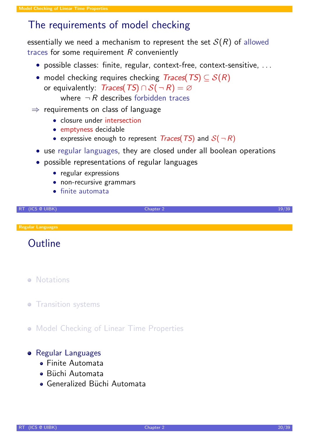## The requirements of model checking

essentially we need a mechanism to represent the set  $S(R)$  of allowed traces for some requirement  $R$  conveniently

- possible classes: finite, regular, context-free, context-sensitive, . . .
- model checking requires checking  $Trace(TS) \subseteq S(R)$ or equivalently: Traces(TS)  $\cap S(-R) = \emptyset$ where  $\neg R$  describes forbidden traces
- $\Rightarrow$  requirements on class of language
	- closure under intersection
	- emptyness decidable
	- expressive enough to represent *Traces*(*TS*) and  $S(-R)$
	- use regular languages, they are closed under all boolean operations
	- possible representations of regular languages
		- regular expressions
		- non-recursive grammars
		- finite automata

RT (ICS @ UIBK) 2 19/39 Chapter 2 19/39 Chapter 2 19/39 Chapter 2 19/39 Chapter 2 19/39

Regular Languages

**Outline** 

- **•** Notations
- **Transition systems**
- **[M](#page-1-0)odel Checking of Linear Time Properties**

#### **•** [Regula](#page-2-0)r Languages

- [Finite Automata](#page-7-0)
- Büchi Automata
- <span id="page-9-0"></span>• [Gen](#page-9-0)eralized Büchi Automata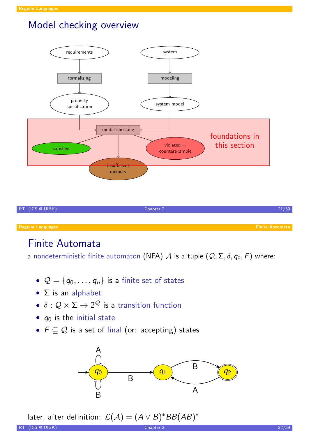## Model checking overview



# Finite Automata

a nondeterministic finite automaton (NFA)  $A$  is a tuple  $(Q, \Sigma, \delta, q_0, F)$  where:

- $\mathcal{Q} = \{q_0, \ldots, q_n\}$  is a finite set of states
- $\bullet$   $\Sigma$  is an alphabet
- $\bullet\,\,\delta:\mathcal{Q}\times \Sigma\rightarrow 2^{\mathcal{Q}}$  is a transition function
- $q_0$  is the initial state
- $F \subseteq \mathcal{Q}$  is a set of final (or: accepting) states



```
later, after definition: \mathcal{L}(\mathcal{A}) = (A \lor B)^* BB(AB)^*
```
<span id="page-10-0"></span>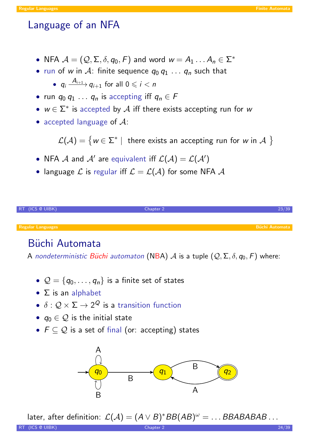## Language of an NFA

- NFA  $\mathcal{A} = (\mathcal{Q}, \Sigma, \delta, q_0, F)$  and word  $w = A_1 \dots A_n \in \Sigma^*$
- run of w in A: finite sequence  $q_0 q_1 \ldots q_n$  such that

•  $q_i \xrightarrow{A_{i+1}} q_{i+1}$  for all  $0 \leq i < n$ 

- run  $q_0 q_1 \ldots q_n$  is accepting iff  $q_n \in F$
- $w \in \Sigma^*$  is accepted by  $\mathcal A$  iff there exists accepting run for w
- accepted language of  $A$ :

 $\mathcal{L}(\mathcal{A}) = \{ w \in \Sigma^* | \text{ there exists an accepting run for } w \text{ in } \mathcal{A} \}$ 

- NFA  $\mathcal A$  and  $\mathcal A'$  are equivalent iff  $\mathcal L(\mathcal A)=\mathcal L(\mathcal A')$
- language  $\mathcal L$  is regular iff  $\mathcal L = \mathcal L(\mathcal A)$  for some NFA  $\mathcal A$

| RT (ICS @ UIBK)          | Chapter 2 |                       |
|--------------------------|-----------|-----------------------|
|                          |           |                       |
| <b>Regular Languages</b> |           | <b>Büchi Automata</b> |

# Büchi Automata

A nondeterministic Büchi automaton (NBA) A is a tuple  $(Q, \Sigma, \delta, q_0, F)$  where:

- $\mathcal{Q} = \{q_0, \ldots, q_n\}$  is a finite set of states
- $\bullet$   $\Sigma$  is an alphabet
- $\bullet\,\,\delta:\mathcal{Q}\times \Sigma\rightarrow 2^\mathcal{Q}$  is a transition function
- $q_0 \in \mathcal{Q}$  is the initial state
- $F \subseteq \mathcal{Q}$  is a set of final (or: accepting) states



later, after definition:  $\mathcal{L}(\mathcal{A}) = (A \lor B)^* BB(AB)^\omega = \dots BBABABAB\dots$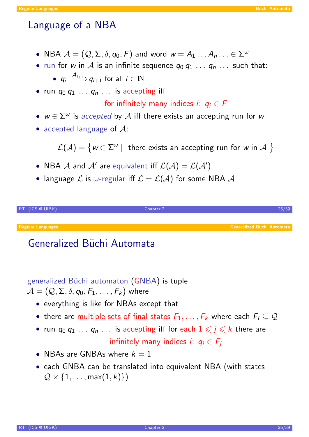# Language of a NBA

- NBA  $\mathcal{A} = (\mathcal{Q}, \Sigma, \delta, q_0, \digamma)$  and word  $w = A_1 \dots A_n \dots \in \Sigma^{\omega}$
- run for w in A is an infinite sequence  $q_0 q_1 \ldots q_n \ldots$  such that:

```
• q_i \xrightarrow{A_{i+1}} q_{i+1} for all i \in \mathbb{N}
```
• run  $q_0 q_1 \ldots q_n \ldots$  is accepting iff

for infinitely many indices *i*:  $q_i \in F$ 

- $w \in \Sigma^{\omega}$  is accepted by  $\mathcal A$  iff there exists an accepting run for w
- accepted language of  $A$ :

 $\mathcal{L}(\mathcal{A})=\big\{w\in\Sigma^\omega\mid \text{ there exists an accepting run for }w\text{ in }\mathcal{A}\big\}\big\}$ 

- NBA  ${\mathcal A}$  and  ${\mathcal A}'$  are equivalent iff  ${\mathcal L}({\mathcal A})={\mathcal L}({\mathcal A}')$
- language  $\mathcal L$  is  $\omega$ -regular iff  $\mathcal L = \mathcal L(\mathcal A)$  for some NBA  $\mathcal A$

| RT (ICS @ UIBK)          | Chapter 2 |                                   |
|--------------------------|-----------|-----------------------------------|
|                          |           |                                   |
| <b>Regular Languages</b> |           | <b>Generalized Büchi Automata</b> |

# Generalized Büchi Automata

generalized Büchi automaton (GNBA) is tuple

 $\mathcal{A} = (\mathcal{Q}, \mathsf{\Sigma}, \delta, q_0, \mathsf{F}_1, \ldots, \mathsf{F}_k)$  where

- everything is like for NBAs except that
- there are multiple sets of final states  $F_1, \ldots, F_k$  where each  $F_i \subseteq \mathcal{Q}$
- run  $q_0 q_1 ... q_n ...$  is accepting iff for each  $1 \leq j \leq k$  there are infinitely many indices i:  $q_i \in F_j$
- NBAs are GNBAs where  $k = 1$
- <span id="page-12-0"></span>• each GNBA can be translated into equivalent NBA (with states  $\mathcal{Q} \times \{1, \ldots, \max(1, k)\}\)$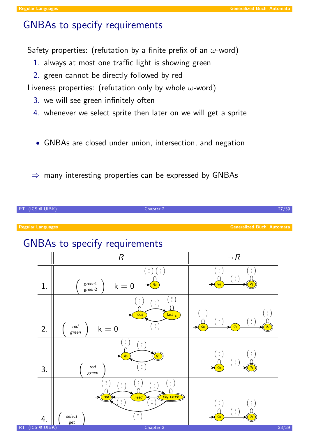## GNBAs to specify requirements

Safety properties: (refutation by a finite prefix of an  $\omega$ -word)

- 1. always at most one traffic light is showing green
- 2. green cannot be directly followed by red

Liveness properties: (refutation only by whole  $\omega$ -word)

- 3. we will see green infinitely often
- 4. whenever we select sprite then later on we will get a sprite
- GNBAs are closed under union, intersection, and negation

 $\Rightarrow$  many interesting properties can be expressed by GNBAs

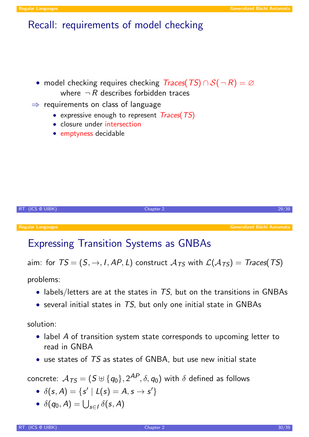### Recall: requirements of model checking

- model checking requires checking  $Traces(TS) \cap S(-R) = \emptyset$ where  $\neg R$  describes forbidden traces
- $\Rightarrow$  requirements on class of language
	- expressive enough to represent  $Traces(TS)$
	- closure under intersection
	- emptyness decidable



## Expressing Transition Systems as GNBAs

aim: for  $TS = (S, \rightarrow, I, AP, L)$  construct  $A_{TS}$  with  $\mathcal{L}(A_{TS}) = Traces(TS)$ 

problems:

- labels/letters are at the states in  $TS$ , but on the transitions in GNBAs
- several initial states in  $TS$ , but only one initial state in GNBAs

solution:

- label A of transition system state corresponds to upcoming letter to read in GNBA
- use states of TS as states of GNBA, but use new initial state

concrete:  $\mathcal{A}_{\mathcal{TS}} = (S \uplus \{q_0\}, 2^\textit{AP}, \delta, q_0)$  with  $\delta$  defined as follows

- $\delta(s, A) = \{s' | L(s) = A, s \to s' \}$
- $\delta(q_0, A) = \bigcup_{s \in I} \delta(s, A)$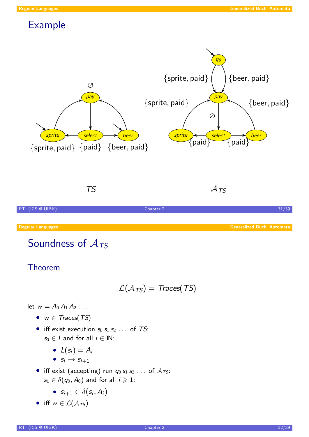# Example



TS

 $A_{TS}$ 



# Soundness of  $A_{TS}$

Theorem

$$
\mathcal{L}(\mathcal{A}_{TS}) = \text{Traces}(TS)
$$

let  $w = A_0 A_1 A_2 \ldots$ 

- $w \in Traces(TS)$
- iff exist execution  $s_0 s_1 s_2 \dots$  of TS:  $s_0 \in I$  and for all  $i \in \mathbb{N}$ :
	- $\bullet$   $L(s_i) = A_i$
	- $s_i \rightarrow s_{i+1}$
- iff exist (accepting) run  $q_0 s_1 s_2 \ldots$  of  $A_{TS}$ :  $s_1 \in \delta(q_0, A_0)$  and for all  $i \geqslant 1$ :
	- $s_{i+1} \in \delta(s_i, A_i)$
- iff  $w \in \mathcal{L}(\mathcal{A}_{TS})$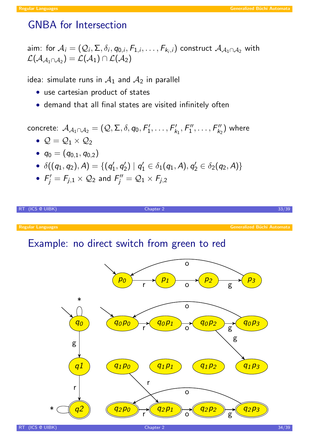## GNBA for Intersection

aim: for  $\mathcal{A}_i=(\mathcal{Q}_i,\Sigma,\delta_i,q_{0,i},F_{1,i},\ldots,F_{k_i,i})$  construct  $\mathcal{A}_{\mathcal{A}_1\cap\mathcal{A}_2}$  with  $\mathcal{L}(\mathcal{A}_{\mathcal{A}_1\cap\mathcal{A}_2})=\mathcal{L}(\mathcal{A}_1)\cap\mathcal{L}(\mathcal{A}_2)$ 

idea: simulate runs in  $A_1$  and  $A_2$  in parallel

- use cartesian product of states
- demand that all final states are visited infinitely often

concrete:  $\mathcal{A}_{\mathcal{A}_1\cap\mathcal{A}_2} = (\mathcal{Q}, \Sigma, \delta, q_0, F'_1)$  $F'_1,\ldots,F'_k$  $f'_{k_1}, F''_1$  $\mathcal{F}''_1,\ldots,\mathcal{F}''_{k_2}$  $\binom{n'}{k_2}$  where

- $\mathcal{Q} = \mathcal{Q}_1 \times \mathcal{Q}_2$
- $\bullet\,~q_0=(q_{0,1},q_{0,2})$
- $\delta((q_1, q_2), A) = \{ (q_1, q_2), (q_2, q_3), (q_3, q_4)\}$  $q'_{1}, q'_{2}$  $\binom{1}{2}$  |  $q_1'$  $q_1' \in \delta_1(q_1, A), q_2'$  $\beta_2' \in \delta_2(q_2,A)\}$
- $F_i'$  $\bar{f}'_j = \bar{F}_{j,1} \times \mathcal{Q}_2$  and  $\bar{F}''_j$  $\mathcal{F}_j''=\mathcal{Q}_1\times\mathcal{F}_{j,2}$



RT (ICS @ UIBK) 34/39 Chapter 2 34/39 Chapter 2 34/39 Chapter 2 34/39 Chapter 2 34/39

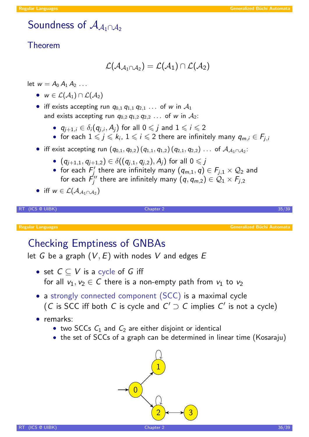# Soundness of  $\mathcal{A}_{A_1 \cap A_2}$

#### Theorem

$$
{\mathcal L}({\mathcal A}_{{\mathcal A}_1\cap{\mathcal A}_2})={\mathcal L}({\mathcal A}_1)\cap{\mathcal L}({\mathcal A}_2)
$$

let  $w = A_0 A_1 A_2 \ldots$ 

- $w \in \mathcal{L}(\mathcal{A}_1) \cap \mathcal{L}(\mathcal{A}_2)$
- iff exists accepting run  $q_{0,1} q_{1,1} q_{2,1} \ldots$  of w in  $\mathcal{A}_1$ and exists accepting run  $q_{0,2}$   $q_{1,2}$   $q_{2,2}$  ... of w in  $A_2$ :
	- $q_{j+1,i} \in \delta_i(q_{j,i},A_j)$  for all  $0 \leqslant j$  and  $1 \leqslant i \leqslant 2$
	- for each  $1 \leqslant j \leqslant k_i,~1 \leqslant i \leqslant 2$  there are infinitely many  $q_{m,i} \in F_{j,i}$
- iff exist accepting run  $(q_{0,1}, q_{0,2}) (q_{1,1}, q_{1,2}) (q_{2,1}, q_{2,2}) \ldots$  of  $\mathcal{A}_{\mathcal{A}_1 \cap \mathcal{A}_2}$ :
	- $\bullet$   $(q_{j+1,1}, q_{j+1,2}) \in \delta((q_{j,1}, q_{j,2}), A_j)$  for all  $0 \leqslant j$
	- for each  $F_i'$  $f_j'$  there are infinitely many  $(q_{m,1},q) \in \mathcal{F}_{j,1} \times \mathcal{Q}_2$  and for each  $\vec{F}''_i$  $f_j^{\prime\prime}$  there are infinitely many  $(\textit{q}, \textit{q}_{m,2}) \in \mathcal{Q}_1 \times F_{j,2}$

• iff 
$$
w \in \mathcal{L}(\mathcal{A}_{\mathcal{A}_1 \cap \mathcal{A}_2})
$$

 $R$ T (ICS @ UIBK)  $R$  and  $R$  and  $R$  and  $R$  and  $R$  and  $R$  and  $R$  and  $R$  and  $R$  and  $R$  and  $R$  and  $R$  and  $R$  and  $R$  and  $R$  and  $R$  and  $R$  and  $R$  and  $R$  and  $R$  and  $R$  and  $R$  and  $R$  and  $R$  and  $R$  and  $R$ 

Generalized Büchi Automata

## Checking Emptiness of GNBAs

let G be a graph  $(V, E)$  with nodes V and edges E

- set  $C \subset V$  is a cycle of G iff for all  $v_1, v_2 \in C$  there is a non-empty path from  $v_1$  to  $v_2$
- a strongly connected compo[nent \(SCC\)](#page-12-0) is a maximal cycle (C is SCC iff both C is cycle and  $C' \supset C$  implies  $C'$  is not a cycle)
- remarks:
	- two SCCs  $C_1$  and  $C_2$  are either disjoint or identical
	- the set of SCCs of a graph can be determined in linear time (Kosaraju)

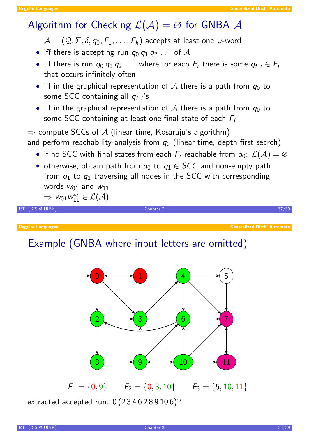## Algorithm for Checking  $\mathcal{L}(\mathcal{A}) = \varnothing$  for GNBA  $\mathcal{A}$

 $\mathcal{A} = (\mathcal{Q}, \mathsf{\Sigma}, \delta, q_0, \mathsf{F}_1, \dots, \mathsf{F}_k)$  accepts at least one  $\omega$ -word

- iff there is accepting run  $q_0 q_1 q_2 \ldots$  of  $A$
- $\bullet$  iff there is run  $q_0 \, q_1 \, q_2 \, \ldots \,$  where for each  $F_i$  there is some  $q_{f,i} \in F_i$ that occurs infinitely often
- iff in the graphical representation of A there is a path from  $q_0$  to some SCC containing all  $q_{f,i}$ 's
- iff in the graphical representation of A there is a path from  $q_0$  to some SCC containing at least one final state of each  $F_i$

 $\Rightarrow$  compute SCCs of A (linear time, Kosaraju's algorithm) and perform reachability-analysis from  $q_0$  (linear time, depth first search)

- if no SCC with final states from each  $F_i$  reachable from  $q_0$ :  $\mathcal{L}(\mathcal{A}) = \varnothing$
- otherwise, obtain path from  $q_0$  to  $q_1 \in SCC$  and non-empty path from  $q_1$  to  $q_1$  traversing all nodes in the SCC with corresponding words  $w_{01}$  and  $w_{11}$

```
\Rightarrow w_{01}w_{11}^{\omega} \in \mathcal{L}(\mathcal{A})
```
 $R$ T (ICS @ UIBK)  $R$  and  $R$  and  $R$  and  $R$  and  $R$  and  $R$  and  $R$  and  $R$  and  $R$  and  $R$  and  $R$  and  $R$  and  $R$  and  $R$  and  $R$  and  $R$  and  $R$  and  $R$  and  $R$  and  $R$  and  $R$  and  $R$  and  $R$  and  $R$  and  $R$  and  $R$ 

Regular Languages

# Example (GNBA where input letters are omitted)



 $F_1 = \{0, 9\}$   $F_2 = \{0, 3, 10\}$   $F_3 = \{5, 10, 11\}$ extracted accepted run:  $0(2346289106)^{\omega}$